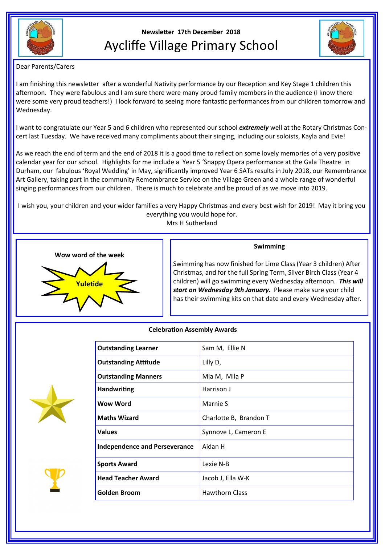

# **Newsletter 17th December 2018** Aycliffe Village Primary School



Dear Parents/Carers

I am finishing this newsletter after a wonderful Nativity performance by our Reception and Key Stage 1 children this afternoon. They were fabulous and I am sure there were many proud family members in the audience (I know there were some very proud teachers!) I look forward to seeing more fantastic performances from our children tomorrow and Wednesday.

I want to congratulate our Year 5 and 6 children who represented our school *extremely* well at the Rotary Christmas Concert last Tuesday. We have received many compliments about their singing, including our soloists, Kayla and Evie!

As we reach the end of term and the end of 2018 it is a good time to reflect on some lovely memories of a very positive calendar year for our school. Highlights for me include a Year 5 'Snappy Opera performance at the Gala Theatre in Durham, our fabulous 'Royal Wedding' in May, significantly improved Year 6 SATs results in July 2018, our Remembrance Art Gallery, taking part in the community Remembrance Service on the Village Green and a whole range of wonderful singing performances from our children. There is much to celebrate and be proud of as we move into 2019.

I wish you, your children and your wider families a very Happy Christmas and every best wish for 2019! May it bring you everything you would hope for. Mrs H Sutherland



# **Swimming**

Swimming has now finished for Lime Class (Year 3 children) After Christmas, and for the full Spring Term, Silver Birch Class (Year 4 children) will go swimming every Wednesday afternoon. *This will start on Wednesday 9th January.* Please make sure your child has their swimming kits on that date and every Wednesday after.

# **Celebration Assembly Awards**



| <b>Outstanding Learner</b>           | Sam M, Ellie N         |
|--------------------------------------|------------------------|
| <b>Outstanding Attitude</b>          | Lilly D,               |
| <b>Outstanding Manners</b>           | Mia M, Mila P          |
| <b>Handwriting</b>                   | Harrison J             |
| Wow Word                             | Marnie S               |
| <b>Maths Wizard</b>                  | Charlotte B, Brandon T |
| <b>Values</b>                        | Synnove L, Cameron E   |
| <b>Independence and Perseverance</b> | Aidan H                |
| <b>Sports Award</b>                  | Lexie N-B              |
| <b>Head Teacher Award</b>            | Jacob J, Ella W-K      |
| Golden Broom                         | <b>Hawthorn Class</b>  |
|                                      |                        |